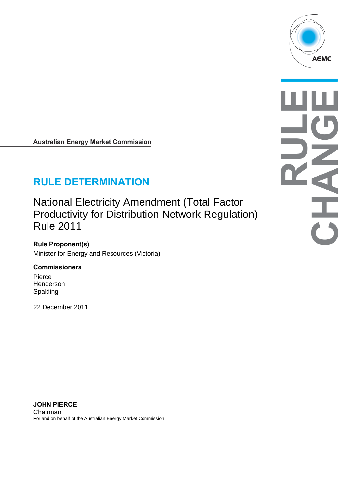

**Australian Energy Market Commission** 

# **RULE DETERMINATION**

National Electricity Amendment (Total Factor Productivity for Distribution Network Regulation) Rule 2011

**Rule Proponent(s)** Minister for Energy and Resources (Victoria)

#### **Commissioners**

Pierce **Henderson** Spalding

22 December 2011

**JOHN PIERCE** Chairman For and on behalf of the Australian Energy Market Commission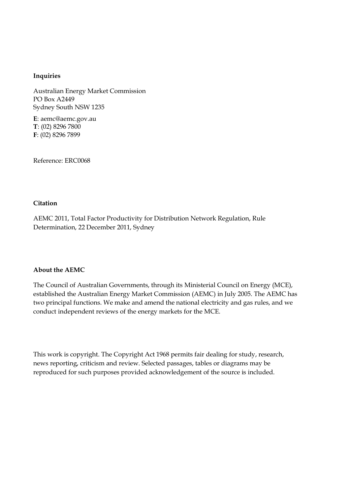#### **Inquiries**

Australian Energy Market Commission PO Box A2449 Sydney South NSW 1235

**E**: aemc@aemc.gov.au **T**: (02) 8296 7800 **F**: (02) 8296 7899

Reference: ERC0068

#### **Citation**

AEMC 2011, Total Factor Productivity for Distribution Network Regulation, Rule Determination, 22 December 2011, Sydney

#### **About the AEMC**

The Council of Australian Governments, through its Ministerial Council on Energy (MCE), established the Australian Energy Market Commission (AEMC) in July 2005. The AEMC has two principal functions. We make and amend the national electricity and gas rules, and we conduct independent reviews of the energy markets for the MCE.

This work is copyright. The Copyright Act 1968 permits fair dealing for study, research, news reporting, criticism and review. Selected passages, tables or diagrams may be reproduced for such purposes provided acknowledgement of the source is included.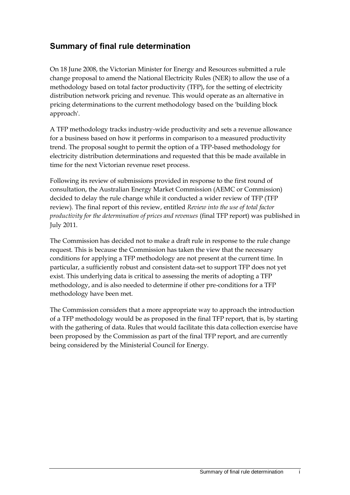## **Summary of final rule determination**

On 18 June 2008, the Victorian Minister for Energy and Resources submitted a rule change proposal to amend the National Electricity Rules (NER) to allow the use of a methodology based on total factor productivity (TFP), for the setting of electricity distribution network pricing and revenue. This would operate as an alternative in pricing determinations to the current methodology based on the 'building block approach'.

A TFP methodology tracks industry-wide productivity and sets a revenue allowance for a business based on how it performs in comparison to a measured productivity trend. The proposal sought to permit the option of a TFP-based methodology for electricity distribution determinations and requested that this be made available in time for the next Victorian revenue reset process.

Following its review of submissions provided in response to the first round of consultation, the Australian Energy Market Commission (AEMC or Commission) decided to delay the rule change while it conducted a wider review of TFP (TFP review). The final report of this review, entitled *Review into the use of total factor productivity for the determination of prices and revenues* (final TFP report) was published in July 2011.

The Commission has decided not to make a draft rule in response to the rule change request. This is because the Commission has taken the view that the necessary conditions for applying a TFP methodology are not present at the current time. In particular, a sufficiently robust and consistent data-set to support TFP does not yet exist. This underlying data is critical to assessing the merits of adopting a TFP methodology, and is also needed to determine if other pre-conditions for a TFP methodology have been met.

The Commission considers that a more appropriate way to approach the introduction of a TFP methodology would be as proposed in the final TFP report, that is, by starting with the gathering of data. Rules that would facilitate this data collection exercise have been proposed by the Commission as part of the final TFP report, and are currently being considered by the Ministerial Council for Energy.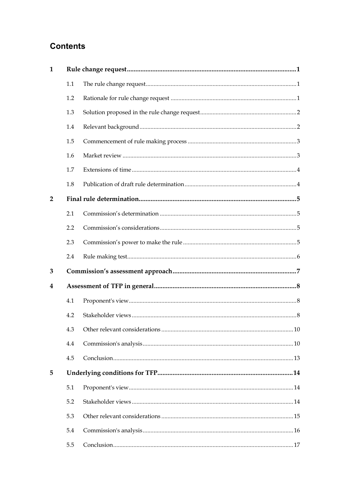# **Contents**

| $\mathbf{1}$   |     |  |  |  |
|----------------|-----|--|--|--|
|                | 1.1 |  |  |  |
|                | 1.2 |  |  |  |
|                | 1.3 |  |  |  |
|                | 1.4 |  |  |  |
|                | 1.5 |  |  |  |
|                | 1.6 |  |  |  |
|                | 1.7 |  |  |  |
|                | 1.8 |  |  |  |
| $\overline{2}$ |     |  |  |  |
|                | 2.1 |  |  |  |
|                | 2.2 |  |  |  |
|                | 2.3 |  |  |  |
|                | 2.4 |  |  |  |
| 3              |     |  |  |  |
| 4              |     |  |  |  |
|                | 4.1 |  |  |  |
|                | 4.2 |  |  |  |
|                |     |  |  |  |
|                | 4.4 |  |  |  |
|                | 4.5 |  |  |  |
| 5              |     |  |  |  |
|                | 5.1 |  |  |  |
|                | 5.2 |  |  |  |
|                | 5.3 |  |  |  |
|                | 5.4 |  |  |  |
|                | 5.5 |  |  |  |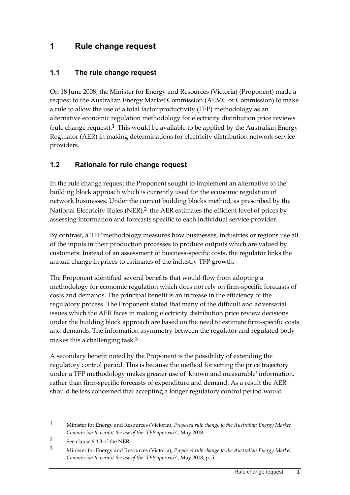## <span id="page-6-0"></span>**1 Rule change request**

### <span id="page-6-1"></span>**1.1 The rule change request**

On 18 June 2008, the Minister for Energy and Resources (Victoria) (Proponent) made a request to the Australian Energy Market Commission (AEMC or Commission) to make a rule to allow the use of a total factor productivity (TFP) methodology as an alternative economic regulation methodology for electricity distribution price reviews (rule change request).<sup>1</sup> This would be available to be applied by the Australian Energy Regulator (AER) in making determinations for electricity distribution network service providers.

### <span id="page-6-2"></span>**1.2 Rationale for rule change request**

In the rule change request the Proponent sought to implement an alternative to the building block approach which is currently used for the economic regulation of network businesses. Under the current building blocks method, as prescribed by the National Electricity Rules (NER),<sup>2</sup> the AER estimates the efficient level of prices by assessing information and forecasts specific to each individual service provider.

By contrast, a TFP methodology measures how businesses, industries or regions use all of the inputs in their production processes to produce outputs which are valued by customers. Instead of an assessment of business-specific costs, the regulator links the annual change in prices to estimates of the industry TFP growth.

The Proponent identified several benefits that would flow from adopting a methodology for economic regulation which does not rely on firm-specific forecasts of costs and demands. The principal benefit is an increase in the efficiency of the regulatory process. The Proponent stated that many of the difficult and adversarial issues which the AER faces in making electricity distribution price review decisions under the building block approach are based on the need to estimate firm-specific costs and demands. The information asymmetry between the regulator and regulated body makes this a challenging task.<sup>3</sup>

A secondary benefit noted by the Proponent is the possibility of extending the regulatory control period. This is because the method for setting the price trajectory under a TFP methodology makes greater use of 'known and measurable' information, rather than firm-specific forecasts of expenditure and demand. As a result the AER should be less concerned that accepting a longer regulatory control period would

<sup>1</sup> Minister for Energy and Resources (Victoria), *Proposed rule change to the Australian Energy Market Commission to permit the use of the 'TFP approach'*, May 2008.

<sup>2</sup> See clause 6.4.3 of the NER.

<sup>3</sup> Minister for Energy and Resources (Victoria), *Proposed rule change to the Australian Energy Market Commission to permit the use of the 'TFP approach'*, May 2008, p. 5.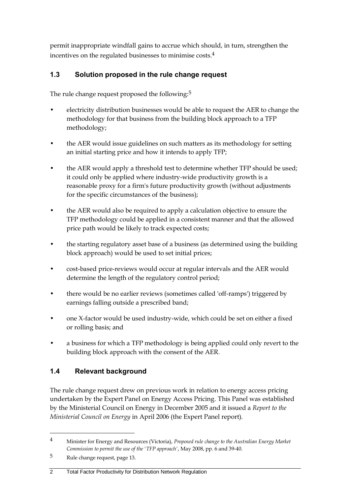permit inappropriate windfall gains to accrue which should, in turn, strengthen the incentives on the regulated businesses to minimise costs.4

## <span id="page-7-0"></span>**1.3 Solution proposed in the rule change request**

The rule change request proposed the following:<sup>5</sup>

- electricity distribution businesses would be able to request the AER to change the methodology for that business from the building block approach to a TFP methodology;
- the AER would issue guidelines on such matters as its methodology for setting an initial starting price and how it intends to apply TFP;
- the AER would apply a threshold test to determine whether TFP should be used; it could only be applied where industry-wide productivity growth is a reasonable proxy for a firm's future productivity growth (without adjustments for the specific circumstances of the business);
- the AER would also be required to apply a calculation objective to ensure the TFP methodology could be applied in a consistent manner and that the allowed price path would be likely to track expected costs;
- the starting regulatory asset base of a business (as determined using the building block approach) would be used to set initial prices;
- cost-based price-reviews would occur at regular intervals and the AER would determine the length of the regulatory control period;
- there would be no earlier reviews (sometimes called 'off-ramps') triggered by earnings falling outside a prescribed band;
- one X-factor would be used industry-wide, which could be set on either a fixed or rolling basis; and
- a business for which a TFP methodology is being applied could only revert to the building block approach with the consent of the AER.

## <span id="page-7-1"></span>**1.4 Relevant background**

The rule change request drew on previous work in relation to energy access pricing undertaken by the Expert Panel on Energy Access Pricing. This Panel was established by the Ministerial Council on Energy in December 2005 and it issued a *Report to the Ministerial Council on Energy* in April 2006 (the Expert Panel report).

 $\overline{a}$ 

#### 2 Total Factor Productivity for Distribution Network Regulation

<sup>4</sup> Minister for Energy and Resources (Victoria), *Proposed rule change to the Australian Energy Market Commission to permit the use of the 'TFP approach'*, May 2008, pp. 6 and 39-40.

<sup>5</sup> Rule change request, page 13.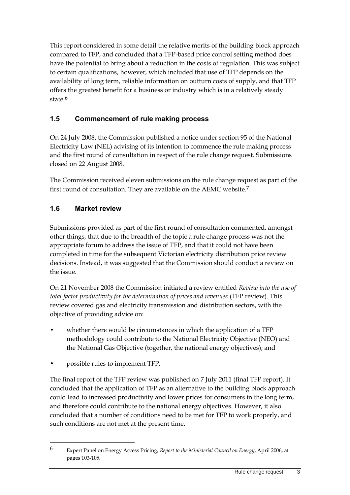This report considered in some detail the relative merits of the building block approach compared to TFP, and concluded that a TFP-based price control setting method does have the potential to bring about a reduction in the costs of regulation. This was subject to certain qualifications, however, which included that use of TFP depends on the availability of long term, reliable information on outturn costs of supply, and that TFP offers the greatest benefit for a business or industry which is in a relatively steady state.<sup>6</sup>

## <span id="page-8-0"></span>**1.5 Commencement of rule making process**

On 24 July 2008, the Commission published a notice under section 95 of the National Electricity Law (NEL) advising of its intention to commence the rule making process and the first round of consultation in respect of the rule change request. Submissions closed on 22 August 2008.

The Commission received eleven submissions on the rule change request as part of the first round of consultation. They are available on the AEMC website.7

## <span id="page-8-1"></span>**1.6 Market review**

Submissions provided as part of the first round of consultation commented, amongst other things, that due to the breadth of the topic a rule change process was not the appropriate forum to address the issue of TFP, and that it could not have been completed in time for the subsequent Victorian electricity distribution price review decisions. Instead, it was suggested that the Commission should conduct a review on the issue.

On 21 November 2008 the Commission initiated a review entitled *Review into the use of total factor productivity for the determination of prices and revenues* (TFP review). This review covered gas and electricity transmission and distribution sectors, with the objective of providing advice on:

- whether there would be circumstances in which the application of a TFP methodology could contribute to the National Electricity Objective (NEO) and the National Gas Objective (together, the national energy objectives); and
- possible rules to implement TFP.

 $\overline{a}$ 

The final report of the TFP review was published on 7 July 2011 (final TFP report). It concluded that the application of TFP as an alternative to the building block approach could lead to increased productivity and lower prices for consumers in the long term, and therefore could contribute to the national energy objectives. However, it also concluded that a number of conditions need to be met for TFP to work properly, and such conditions are not met at the present time.

<sup>6</sup> Expert Panel on Energy Access Pricing, *Report to the Ministerial Council on Energy*, April 2006, at pages 103-105.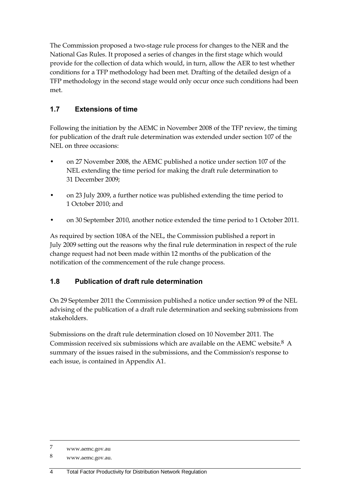The Commission proposed a two-stage rule process for changes to the NER and the National Gas Rules. It proposed a series of changes in the first stage which would provide for the collection of data which would, in turn, allow the AER to test whether conditions for a TFP methodology had been met. Drafting of the detailed design of a TFP methodology in the second stage would only occur once such conditions had been met.

## <span id="page-9-0"></span>**1.7 Extensions of time**

Following the initiation by the AEMC in November 2008 of the TFP review, the timing for publication of the draft rule determination was extended under section 107 of the NEL on three occasions:

- on 27 November 2008, the AEMC published a notice under section 107 of the NEL extending the time period for making the draft rule determination to 31 December 2009;
- on 23 July 2009, a further notice was published extending the time period to 1 October 2010; and
- on 30 September 2010, another notice extended the time period to 1 October 2011.

As required by section 108A of the NEL, the Commission published a report in July 2009 setting out the reasons why the final rule determination in respect of the rule change request had not been made within 12 months of the publication of the notification of the commencement of the rule change process.

## <span id="page-9-1"></span>**1.8 Publication of draft rule determination**

On 29 September 2011 the Commission published a notice under section 99 of the NEL advising of the publication of a draft rule determination and seeking submissions from stakeholders.

Submissions on the draft rule determination closed on 10 November 2011. The Commission received six submissions which are available on the AEMC website.8 A summary of the issues raised in the submissions, and the Commission's response to each issue, is contained in Appendix A1.

<sup>7</sup> www.aemc.gov.au

<sup>8</sup> www.aemc.gov.au.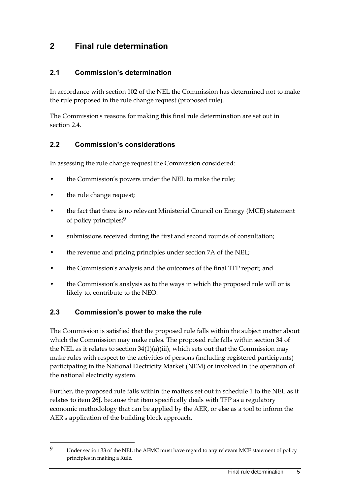# <span id="page-10-0"></span>**2 Final rule determination**

### <span id="page-10-1"></span>**2.1 Commission's determination**

In accordance with section 102 of the NEL the Commission has determined not to make the rule proposed in the rule change request (proposed rule).

The Commission's reasons for making this final rule determination are set out in section [2.4.](#page-11-0)

### <span id="page-10-2"></span>**2.2 Commission's considerations**

In assessing the rule change request the Commission considered:

- the Commission's powers under the NEL to make the rule;
- the rule change request;

 $\overline{a}$ 

- the fact that there is no relevant Ministerial Council on Energy (MCE) statement of policy principles;9
- submissions received during the first and second rounds of consultation;
- the revenue and pricing principles under section 7A of the NEL;
- the Commission's analysis and the outcomes of the final TFP report; and
- the Commission's analysis as to the ways in which the proposed rule will or is likely to, contribute to the NEO.

### <span id="page-10-3"></span>**2.3 Commission's power to make the rule**

The Commission is satisfied that the proposed rule falls within the subject matter about which the Commission may make rules. The proposed rule falls within section 34 of the NEL as it relates to section  $34(1)(a)(iii)$ , which sets out that the Commission may make rules with respect to the activities of persons (including registered participants) participating in the National Electricity Market (NEM) or involved in the operation of the national electricity system.

Further, the proposed rule falls within the matters set out in schedule 1 to the NEL as it relates to item 26J, because that item specifically deals with TFP as a regulatory economic methodology that can be applied by the AER, or else as a tool to inform the AER's application of the building block approach.

<sup>9</sup> Under section 33 of the NEL the AEMC must have regard to any relevant MCE statement of policy principles in making a Rule.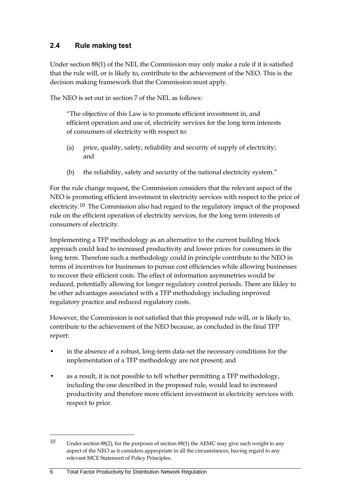## <span id="page-11-0"></span>**2.4 Rule making test**

Under section 88(1) of the NEL the Commission may only make a rule if it is satisfied that the rule will, or is likely to, contribute to the achievement of the NEO. This is the decision making framework that the Commission must apply.

The NEO is set out in section 7 of the NEL as follows:

"The objective of this Law is to promote efficient investment in, and efficient operation and use of, electricity services for the long term interests of consumers of electricity with respect to:

- (a) price, quality, safety, reliability and security of supply of electricity; and
- (b) the reliability, safety and security of the national electricity system."

For the rule change request, the Commission considers that the relevant aspect of the NEO is promoting efficient investment in electricity services with respect to the price of electricity.10 The Commission also had regard to the regulatory impact of the proposed rule on the efficient operation of electricity services, for the long term interests of consumers of electricity.

Implementing a TFP methodology as an alternative to the current building block approach could lead to increased productivity and lower prices for consumers in the long term. Therefore such a methodology could in principle contribute to the NEO in terms of incentives for businesses to pursue cost efficiencies while allowing businesses to recover their efficient costs. The effect of information asymmetries would be reduced, potentially allowing for longer regulatory control periods. There are likley to be other advantages associated with a TFP methodology including improved regulatory practice and reduced regulatory costs.

However, the Commission is not satisfied that this proposed rule will, or is likely to, contribute to the achievement of the NEO because, as concluded in the final TFP report:

- in the absence of a robust, long-term data-set the necessary conditions for the implementation of a TFP methodology are not present; and
- as a result, it is not possible to tell whether permitting a TFP methodology, including the one described in the proposed rule, would lead to increased productivity and therefore more efficient investment in electricity services with respect to price.

<sup>10</sup> Under section 88(2), for the purposes of section 88(1) the AEMC may give such weight to any aspect of the NEO as it considers appropriate in all the circumstances, having regard to any relevant MCE Statement of Policy Principles.

<sup>6</sup> Total Factor Productivity for Distribution Network Regulation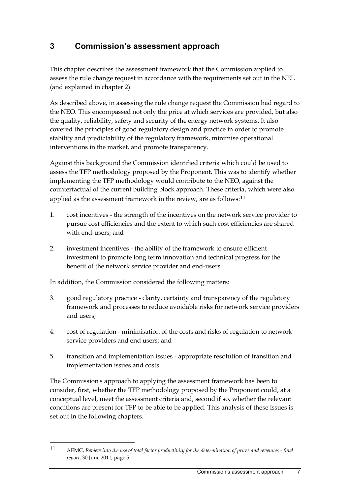# <span id="page-12-0"></span>**3 Commission's assessment approach**

This chapter describes the assessment framework that the Commission applied to assess the rule change request in accordance with the requirements set out in the NEL (and explained in chapter 2).

As described above, in assessing the rule change request the Commission had regard to the NEO. This encompassed not only the price at which services are provided, but also the quality, reliability, safety and security of the energy network systems. It also covered the principles of good regulatory design and practice in order to promote stability and predictability of the regulatory framework, minimise operational interventions in the market, and promote transparency.

Against this background the Commission identified criteria which could be used to assess the TFP methodology proposed by the Proponent. This was to identify whether implementing the TFP methodology would contribute to the NEO, against the counterfactual of the current building block approach. These criteria, which were also applied as the assessment framework in the review, are as follows:<sup>11</sup>

- 1. cost incentives the strength of the incentives on the network service provider to pursue cost efficiencies and the extent to which such cost efficiencies are shared with end-users; and
- 2. investment incentives the ability of the framework to ensure efficient investment to promote long term innovation and technical progress for the benefit of the network service provider and end-users.

In addition, the Commission considered the following matters:

 $\overline{a}$ 

- 3. good regulatory practice clarity, certainty and transparency of the regulatory framework and processes to reduce avoidable risks for network service providers and users;
- 4. cost of regulation minimisation of the costs and risks of regulation to network service providers and end users; and
- 5. transition and implementation issues appropriate resolution of transition and implementation issues and costs.

The Commission's approach to applying the assessment framework has been to consider, first, whether the TFP methodology proposed by the Proponent could, at a conceptual level, meet the assessment criteria and, second if so, whether the relevant conditions are present for TFP to be able to be applied. This analysis of these issues is set out in the following chapters.

<sup>11</sup> AEMC, *Review into the use of total factor productivity for the determination of prices and revenues - final report*, 30 June 2011, page 5.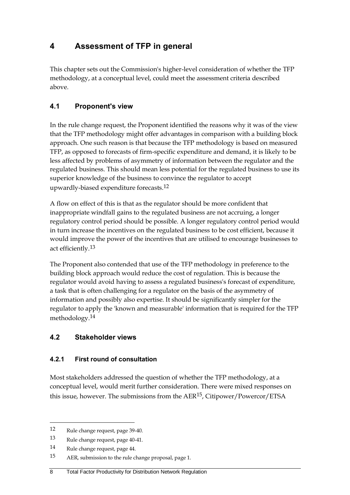# <span id="page-13-0"></span>**4 Assessment of TFP in general**

This chapter sets out the Commission's higher-level consideration of whether the TFP methodology, at a conceptual level, could meet the assessment criteria described above.

## <span id="page-13-1"></span>**4.1 Proponent's view**

In the rule change request, the Proponent identified the reasons why it was of the view that the TFP methodology might offer advantages in comparison with a building block approach. One such reason is that because the TFP methodology is based on measured TFP, as opposed to forecasts of firm-specific expenditure and demand, it is likely to be less affected by problems of asymmetry of information between the regulator and the regulated business. This should mean less potential for the regulated business to use its superior knowledge of the business to convince the regulator to accept upwardly-biased expenditure forecasts.12

A flow on effect of this is that as the regulator should be more confident that inappropriate windfall gains to the regulated business are not accruing, a longer regulatory control period should be possible. A longer regulatory control period would in turn increase the incentives on the regulated business to be cost efficient, because it would improve the power of the incentives that are utilised to encourage businesses to act efficiently.13

The Proponent also contended that use of the TFP methodology in preference to the building block approach would reduce the cost of regulation. This is because the regulator would avoid having to assess a regulated business's forecast of expenditure, a task that is often challenging for a regulator on the basis of the asymmetry of information and possibly also expertise. It should be significantly simpler for the regulator to apply the 'known and measurable' information that is required for the TFP methodology.14

## <span id="page-13-2"></span>**4.2 Stakeholder views**

### **4.2.1 First round of consultation**

Most stakeholders addressed the question of whether the TFP methodology, at a conceptual level, would merit further consideration. There were mixed responses on this issue, however. The submissions from the AER15, Citipower/Powercor/ETSA

<sup>12</sup> Rule change request, page 39-40.

<sup>13</sup> Rule change request, page 40-41.

<sup>14</sup> Rule change request, page 44.

<sup>15</sup> AER, submission to the rule change proposal, page 1.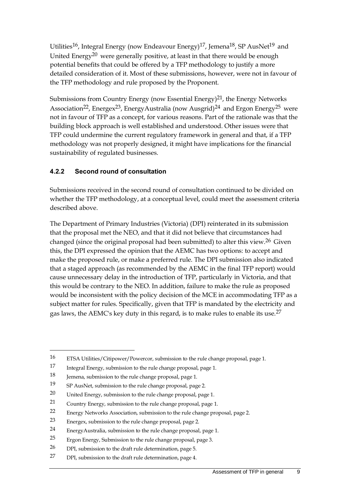Utilities<sup>16</sup>, Integral Energy (now Endeavour Energy)<sup>17</sup>, Jemena<sup>18</sup>, SP AusNet<sup>19</sup> and United Energy<sup>20</sup> were generally positive, at least in that there would be enough potential benefits that could be offered by a TFP methodology to justify a more detailed consideration of it. Most of these submissions, however, were not in favour of the TFP methodology and rule proposed by the Proponent.

Submissions from Country Energy (now Essential Energy)<sup>21</sup>, the Energy Networks Association<sup>22</sup>, Energex<sup>23</sup>, EnergyAustralia (now Ausgrid)<sup>24</sup> and Ergon Energy<sup>25</sup> were not in favour of TFP as a concept, for various reasons. Part of the rationale was that the building block approach is well established and understood. Other issues were that TFP could undermine the current regulatory framework in general and that, if a TFP methodology was not properly designed, it might have implications for the financial sustainability of regulated businesses.

### **4.2.2 Second round of consultation**

Submissions received in the second round of consultation continued to be divided on whether the TFP methodology, at a conceptual level, could meet the assessment criteria described above.

The Department of Primary Industries (Victoria) (DPI) reinterated in its submission that the proposal met the NEO, and that it did not believe that circumstances had changed (since the original proposal had been submitted) to alter this view.26 Given this, the DPI expressed the opinion that the AEMC has two options: to accept and make the proposed rule, or make a preferred rule. The DPI submission also indicated that a staged approach (as recommended by the AEMC in the final TFP report) would cause unnecessary delay in the introduction of TFP, particularly in Victoria, and that this would be contrary to the NEO. In addition, failure to make the rule as proposed would be inconsistent with the policy decision of the MCE in accommodating TFP as a subject matter for rules. Specifically, given that TFP is mandated by the electricity and gas laws, the AEMC's key duty in this regard, is to make rules to enable its use.27

<sup>16</sup> ETSA Utilities/Citipower/Powercor, submission to the rule change proposal, page 1.

<sup>17</sup> Integral Energy, submission to the rule change proposal, page 1.

<sup>18</sup> Jemena, submission to the rule change proposal, page 1.

<sup>19</sup> SP AusNet, submission to the rule change proposal, page 2.

<sup>20</sup> United Energy, submission to the rule change proposal, page 1.

<sup>21</sup> Country Energy, submission to the rule change proposal, page 1.

<sup>22</sup> Energy Networks Association, submission to the rule change proposal, page 2.

<sup>23</sup> Energex, submission to the rule change proposal, page 2.

<sup>24</sup> EnergyAustralia, submission to the rule change proposal, page 1.

<sup>25</sup> Ergon Energy, Submission to the rule change proposal, page 3.

<sup>26</sup> DPI, submission to the draft rule determination, page 5.

<sup>27</sup> DPI, submission to the draft rule determination, page 4.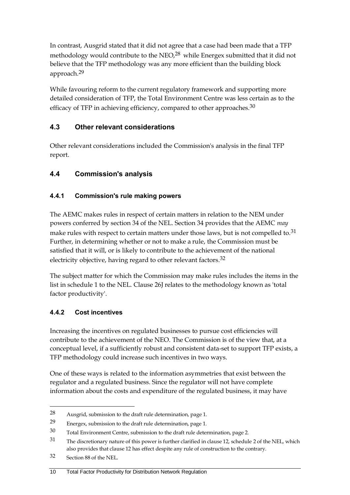In contrast, Ausgrid stated that it did not agree that a case had been made that a TFP methodology would contribute to the NEO,<sup>28</sup> while Energex submitted that it did not believe that the TFP methodology was any more efficient than the building block approach.29

While favouring reform to the current regulatory framework and supporting more detailed consideration of TFP, the Total Environment Centre was less certain as to the efficacy of TFP in achieving efficiency, compared to other approaches.<sup>30</sup>

## <span id="page-15-0"></span>**4.3 Other relevant considerations**

Other relevant considerations included the Commission's analysis in the final TFP report.

## <span id="page-15-1"></span>**4.4 Commission's analysis**

## **4.4.1 Commission's rule making powers**

The AEMC makes rules in respect of certain matters in relation to the NEM under powers conferred by section 34 of the NEL. Section 34 provides that the AEMC *may* make rules with respect to certain matters under those laws, but is not compelled to.<sup>31</sup> Further, in determining whether or not to make a rule, the Commission must be satisfied that it will, or is likely to contribute to the achievement of the national electricity objective, having regard to other relevant factors.32

The subject matter for which the Commission may make rules includes the items in the list in schedule 1 to the NEL. Clause 26J relates to the methodology known as 'total factor productivity'.

## **4.4.2 Cost incentives**

Increasing the incentives on regulated businesses to pursue cost efficiencies will contribute to the achievement of the NEO. The Commission is of the view that, at a conceptual level, if a sufficiently robust and consistent data-set to support TFP exists, a TFP methodology could increase such incentives in two ways.

One of these ways is related to the information asymmetries that exist between the regulator and a regulated business. Since the regulator will not have complete information about the costs and expenditure of the regulated business, it may have

 $\overline{a}$ 

#### 10 Total Factor Productivity for Distribution Network Regulation

<sup>28</sup> Ausgrid, submission to the draft rule determination, page 1.

<sup>29</sup> Energex, submission to the draft rule determination, page 1.

<sup>30</sup> Total Environment Centre, submission to the draft rule determination, page 2.

<sup>31</sup> The discretionary nature of this power is further clarified in clause 12, schedule 2 of the NEL, which also provides that clause 12 has effect despite any rule of construction to the contrary.

<sup>32</sup> Section 88 of the NEL.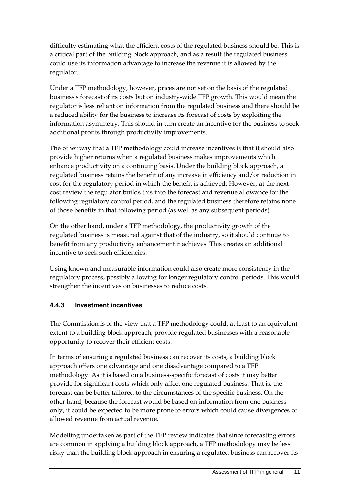difficulty estimating what the efficient costs of the regulated business should be. This is a critical part of the building block approach, and as a result the regulated business could use its information advantage to increase the revenue it is allowed by the regulator.

Under a TFP methodology, however, prices are not set on the basis of the regulated business's forecast of its costs but on industry-wide TFP growth. This would mean the regulator is less reliant on information from the regulated business and there should be a reduced ability for the business to increase its forecast of costs by exploiting the information asymmetry. This should in turn create an incentive for the business to seek additional profits through productivity improvements.

The other way that a TFP methodology could increase incentives is that it should also provide higher returns when a regulated business makes improvements which enhance productivity on a continuing basis. Under the building block approach, a regulated business retains the benefit of any increase in efficiency and/or reduction in cost for the regulatory period in which the benefit is achieved. However, at the next cost review the regulator builds this into the forecast and revenue allowance for the following regulatory control period, and the regulated business therefore retains none of those benefits in that following period (as well as any subsequent periods).

On the other hand, under a TFP methodology, the productivity growth of the regulated business is measured against that of the industry, so it should continue to benefit from any productivity enhancement it achieves. This creates an additional incentive to seek such efficiencies.

Using known and measurable information could also create more consistency in the regulatory process, possibly allowing for longer regulatory control periods. This would strengthen the incentives on businesses to reduce costs.

## **4.4.3 Investment incentives**

The Commission is of the view that a TFP methodology could, at least to an equivalent extent to a building block approach, provide regulated businesses with a reasonable opportunity to recover their efficient costs.

In terms of ensuring a regulated business can recover its costs, a building block approach offers one advantage and one disadvantage compared to a TFP methodology. As it is based on a business-specific forecast of costs it may better provide for significant costs which only affect one regulated business. That is, the forecast can be better tailored to the circumstances of the specific business. On the other hand, because the forecast would be based on information from one business only, it could be expected to be more prone to errors which could cause divergences of allowed revenue from actual revenue.

Modelling undertaken as part of the TFP review indicates that since forecasting errors are common in applying a building block approach, a TFP methodology may be less risky than the building block approach in ensuring a regulated business can recover its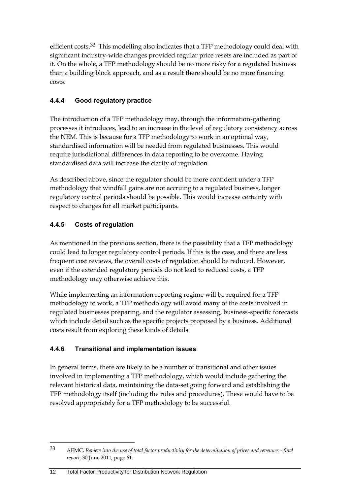efficient costs.33 This modelling also indicates that a TFP methodology could deal with significant industry-wide changes provided regular price resets are included as part of it. On the whole, a TFP methodology should be no more risky for a regulated business than a building block approach, and as a result there should be no more financing costs.

## **4.4.4 Good regulatory practice**

The introduction of a TFP methodology may, through the information-gathering processes it introduces, lead to an increase in the level of regulatory consistency across the NEM. This is because for a TFP methodology to work in an optimal way, standardised information will be needed from regulated businesses. This would require jurisdictional differences in data reporting to be overcome. Having standardised data will increase the clarity of regulation.

As described above, since the regulator should be more confident under a TFP methodology that windfall gains are not accruing to a regulated business, longer regulatory control periods should be possible. This would increase certainty with respect to charges for all market participants.

## **4.4.5 Costs of regulation**

As mentioned in the previous section, there is the possibility that a TFP methodology could lead to longer regulatory control periods. If this is the case, and there are less frequent cost reviews, the overall costs of regulation should be reduced. However, even if the extended regulatory periods do not lead to reduced costs, a TFP methodology may otherwise achieve this.

While implementing an information reporting regime will be required for a TFP methodology to work, a TFP methodology will avoid many of the costs involved in regulated businesses preparing, and the regulator assessing, business-specific forecasts which include detail such as the specific projects proposed by a business. Additional costs result from exploring these kinds of details.

## **4.4.6 Transitional and implementation issues**

In general terms, there are likely to be a number of transitional and other issues involved in implementing a TFP methodology, which would include gathering the relevant historical data, maintaining the data-set going forward and establishing the TFP methodology itself (including the rules and procedures). These would have to be resolved appropriately for a TFP methodology to be successful.

<sup>33</sup> AEMC, *Review into the use of total factor productivity for the determination of prices and revenues - final report*, 30 June 2011, page 61.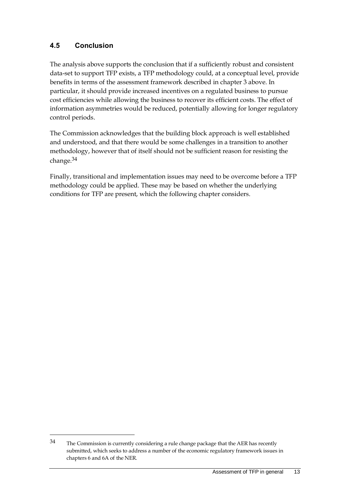## <span id="page-18-0"></span>**4.5 Conclusion**

 $\overline{a}$ 

The analysis above supports the conclusion that if a sufficiently robust and consistent data-set to support TFP exists, a TFP methodology could, at a conceptual level, provide benefits in terms of the assessment framework described in chapter 3 above. In particular, it should provide increased incentives on a regulated business to pursue cost efficiencies while allowing the business to recover its efficient costs. The effect of information asymmetries would be reduced, potentially allowing for longer regulatory control periods.

The Commission acknowledges that the building block approach is well established and understood, and that there would be some challenges in a transition to another methodology, however that of itself should not be sufficient reason for resisting the change.34

Finally, transitional and implementation issues may need to be overcome before a TFP methodology could be applied. These may be based on whether the underlying conditions for TFP are present, which the following chapter considers.

<sup>34</sup> The Commission is currently considering a rule change package that the AER has recently submitted, which seeks to address a number of the economic regulatory framework issues in chapters 6 and 6A of the NER.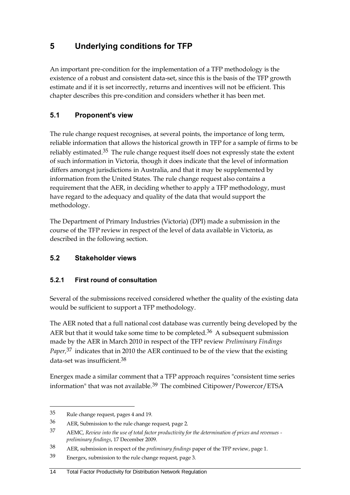# <span id="page-19-0"></span>**5 Underlying conditions for TFP**

An important pre-condition for the implementation of a TFP methodology is the existence of a robust and consistent data-set, since this is the basis of the TFP growth estimate and if it is set incorrectly, returns and incentives will not be efficient. This chapter describes this pre-condition and considers whether it has been met.

## <span id="page-19-1"></span>**5.1 Proponent's view**

The rule change request recognises, at several points, the importance of long term, reliable information that allows the historical growth in TFP for a sample of firms to be reliably estimated.35 The rule change request itself does not expressly state the extent of such information in Victoria, though it does indicate that the level of information differs amongst jurisdictions in Australia, and that it may be supplemented by information from the United States. The rule change request also contains a requirement that the AER, in deciding whether to apply a TFP methodology, must have regard to the adequacy and quality of the data that would support the methodology.

The Department of Primary Industries (Victoria) (DPI) made a submission in the course of the TFP review in respect of the level of data available in Victoria, as described in the following section.

## <span id="page-19-2"></span>**5.2 Stakeholder views**

## **5.2.1 First round of consultation**

Several of the submissions received considered whether the quality of the existing data would be sufficient to support a TFP methodology.

The AER noted that a full national cost database was currently being developed by the AER but that it would take some time to be completed.<sup>36</sup> A subsequent submission made by the AER in March 2010 in respect of the TFP review *Preliminary Findings Paper,*37 indicates that in 2010 the AER continued to be of the view that the existing data-set was insufficient.<sup>38</sup>

Energex made a similar comment that a TFP approach requires "consistent time series information" that was not available.39 The combined Citipower/Powercor/ETSA

 $\overline{a}$ 

#### 14 Total Factor Productivity for Distribution Network Regulation

<sup>35</sup> Rule change request, pages 4 and 19.

<sup>36</sup> AER, Submission to the rule change request, page 2.

<sup>37</sup> AEMC, *Review into the use of total factor productivity for the determination of prices and revenues preliminary findings*, 17 December 2009.

<sup>38</sup> AER, submission in respect of the *preliminary findings* paper of the TFP review, page 1.

<sup>39</sup> Energex, submission to the rule change request, page 3.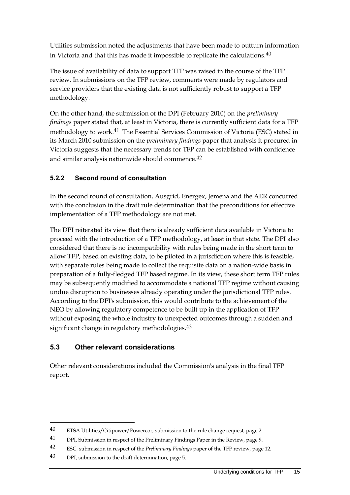Utilities submission noted the adjustments that have been made to outturn information in Victoria and that this has made it impossible to replicate the calculations.40

The issue of availability of data to support TFP was raised in the course of the TFP review. In submissions on the TFP review, comments were made by regulators and service providers that the existing data is not sufficiently robust to support a TFP methodology.

On the other hand, the submission of the DPI (February 2010) on the *preliminary findings* paper stated that, at least in Victoria, there is currently sufficient data for a TFP methodology to work.41 The Essential Services Commission of Victoria (ESC) stated in its March 2010 submission on the *preliminary findings* paper that analysis it procured in Victoria suggests that the necessary trends for TFP can be established with confidence and similar analysis nationwide should commence.42

## **5.2.2 Second round of consultation**

In the second round of consultation, Ausgrid, Energex, Jemena and the AER concurred with the conclusion in the draft rule determination that the preconditions for effective implementation of a TFP methodology are not met.

The DPI reiterated its view that there is already sufficient data available in Victoria to proceed with the introduction of a TFP methodology, at least in that state. The DPI also considered that there is no incompatibility with rules being made in the short term to allow TFP, based on existing data, to be piloted in a jurisdiction where this is feasible, with separate rules being made to collect the requisite data on a nation-wide basis in preparation of a fully-fledged TFP based regime. In its view, these short term TFP rules may be subsequently modified to accommodate a national TFP regime without causing undue disruption to businesses already operating under the jurisdictional TFP rules. According to the DPI's submission, this would contribute to the achievement of the NEO by allowing regulatory competence to be built up in the application of TFP without exposing the whole industry to unexpected outcomes through a sudden and significant change in regulatory methodologies.<sup>43</sup>

## <span id="page-20-0"></span>**5.3 Other relevant considerations**

Other relevant considerations included the Commission's analysis in the final TFP report.

<sup>40</sup> ETSA Utilities/Citipower/Powercor, submission to the rule change request, page 2.

<sup>41</sup> DPI, Submission in respect of the Preliminary Findings Paper in the Review, page 9.

<sup>42</sup> ESC, submission in respect of the *Preliminary Findings* paper of the TFP review, page 12.

<sup>43</sup> DPI, submission to the draft determination, page 5.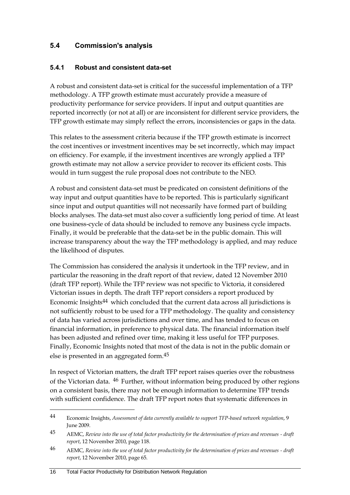### <span id="page-21-0"></span>**5.4 Commission's analysis**

#### **5.4.1 Robust and consistent data-set**

A robust and consistent data-set is critical for the successful implementation of a TFP methodology. A TFP growth estimate must accurately provide a measure of productivity performance for service providers. If input and output quantities are reported incorrectly (or not at all) or are inconsistent for different service providers, the TFP growth estimate may simply reflect the errors, inconsistencies or gaps in the data.

This relates to the assessment criteria because if the TFP growth estimate is incorrect the cost incentives or investment incentives may be set incorrectly, which may impact on efficiency. For example, if the investment incentives are wrongly applied a TFP growth estimate may not allow a service provider to recover its efficient costs. This would in turn suggest the rule proposal does not contribute to the NEO.

A robust and consistent data-set must be predicated on consistent definitions of the way input and output quantities have to be reported. This is particularly significant since input and output quantities will not necessarily have formed part of building blocks analyses. The data-set must also cover a sufficiently long period of time. At least one business-cycle of data should be included to remove any business cycle impacts. Finally, it would be preferable that the data-set be in the public domain. This will increase transparency about the way the TFP methodology is applied, and may reduce the likelihood of disputes.

The Commission has considered the analysis it undertook in the TFP review, and in particular the reasoning in the draft report of that review, dated 12 November 2010 (draft TFP report). While the TFP review was not specific to Victoria, it considered Victorian issues in depth. The draft TFP report considers a report produced by Economic Insights<sup>44</sup> which concluded that the current data across all jurisdictions is not sufficiently robust to be used for a TFP methodology. The quality and consistency of data has varied across jurisdictions and over time, and has tended to focus on financial information, in preference to physical data. The financial information itself has been adjusted and refined over time, making it less useful for TFP purposes. Finally, Economic Insights noted that most of the data is not in the public domain or else is presented in an aggregated form.45

In respect of Victorian matters, the draft TFP report raises queries over the robustness of the Victorian data. 46 Further, without information being produced by other regions on a consistent basis, there may not be enough information to determine TFP trends with sufficient confidence. The draft TFP report notes that systematic differences in

<sup>44</sup> Economic Insights, *Assessment of data currently available to support TFP-based network regulation*, 9 June 2009.

<sup>45</sup> AEMC, *Review into the use of total factor productivity for the determination of prices and revenues - draft report*, 12 November 2010, page 118.

<sup>46</sup> AEMC, *Review into the use of total factor productivity for the determination of prices and revenues - draft report*, 12 November 2010, page 65.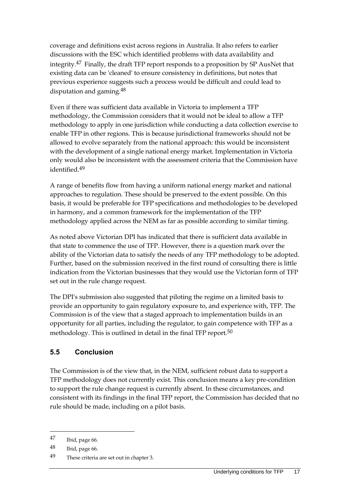coverage and definitions exist across regions in Australia. It also refers to earlier discussions with the ESC which identified problems with data availability and integrity.47 Finally, the draft TFP report responds to a proposition by SP AusNet that existing data can be 'cleaned' to ensure consistency in definitions, but notes that previous experience suggests such a process would be difficult and could lead to disputation and gaming.48

Even if there was sufficient data available in Victoria to implement a TFP methodology, the Commission considers that it would not be ideal to allow a TFP methodology to apply in one jurisdiction while conducting a data collection exercise to enable TFP in other regions. This is because jurisdictional frameworks should not be allowed to evolve separately from the national approach: this would be inconsistent with the development of a single national energy market. Implementation in Victoria only would also be inconsistent with the assessment criteria that the Commission have identified.49

A range of benefits flow from having a uniform national energy market and national approaches to regulation. These should be preserved to the extent possible. On this basis, it would be preferable for TFP specifications and methodologies to be developed in harmony, and a common framework for the implementation of the TFP methodology applied across the NEM as far as possible according to similar timing.

As noted above Victorian DPI has indicated that there is sufficient data available in that state to commence the use of TFP. However, there is a question mark over the ability of the Victorian data to satisfy the needs of any TFP methodology to be adopted. Further, based on the submission received in the first round of consulting there is little indication from the Victorian businesses that they would use the Victorian form of TFP set out in the rule change request.

The DPI's submission also suggested that piloting the regime on a limited basis to provide an opportunity to gain regulatory exposure to, and experience with, TFP. The Commission is of the view that a staged approach to implementation builds in an opportunity for all parties, including the regulator, to gain competence with TFP as a methodology. This is outlined in detail in the final TFP report.<sup>50</sup>

## <span id="page-22-0"></span>**5.5 Conclusion**

The Commission is of the view that, in the NEM, sufficient robust data to support a TFP methodology does not currently exist. This conclusion means a key pre-condition to support the rule change request is currently absent. In these circumstances, and consistent with its findings in the final TFP report, the Commission has decided that no rule should be made, including on a pilot basis.

<sup>47</sup> Ibid, page 66.

<sup>48</sup> Ibid, page 66.

<sup>49</sup> These criteria are set out in chapter 3.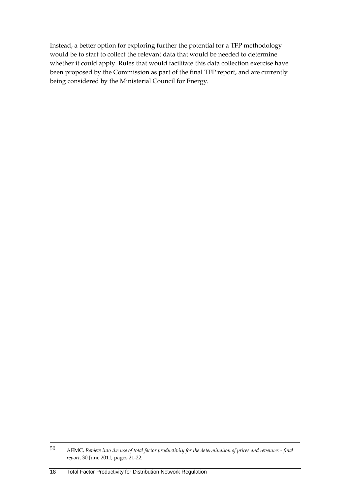Instead, a better option for exploring further the potential for a TFP methodology would be to start to collect the relevant data that would be needed to determine whether it could apply. Rules that would facilitate this data collection exercise have been proposed by the Commission as part of the final TFP report, and are currently being considered by the Ministerial Council for Energy.

<sup>50</sup> AEMC, *Review into the use of total factor productivity for the determination of prices and revenues - final report*, 30 June 2011, pages 21-22.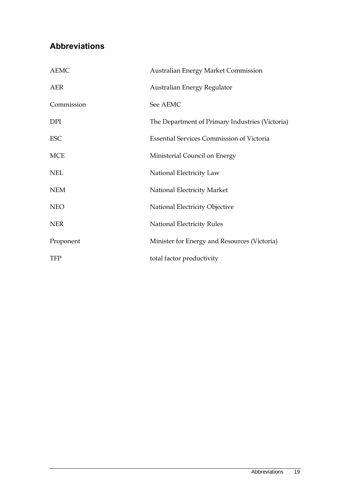# <span id="page-24-0"></span>**Abbreviations**

| <b>AEMC</b> | <b>Australian Energy Market Commission</b>       |
|-------------|--------------------------------------------------|
| <b>AER</b>  | Australian Energy Regulator                      |
| Commission  | See AEMC                                         |
| <b>DPI</b>  | The Department of Primary Industries (Victoria)  |
| <b>ESC</b>  | <b>Essential Services Commission of Victoria</b> |
| <b>MCE</b>  | Ministerial Council on Energy                    |
| <b>NEL</b>  | National Electricity Law                         |
| <b>NEM</b>  | National Electricity Market                      |
| <b>NEO</b>  | National Electricity Objective                   |
| <b>NER</b>  | National Electricity Rules                       |
| Proponent   | Minister for Energy and Resources (Victoria)     |
| TFP         | total factor productivity                        |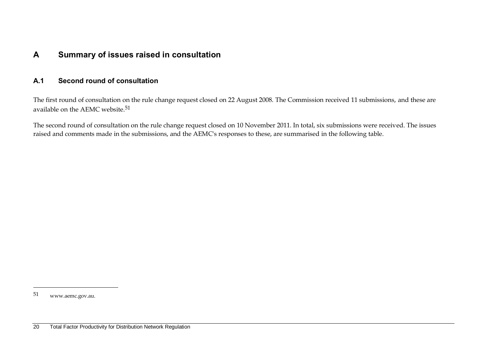## **A Summary of issues raised in consultation**

### **A.1 Second round of consultation**

The first round of consultation on the rule change request closed on 22 August 2008. The Commission received 11 submissions, and these are available on the AEMC website.51

<span id="page-25-0"></span>The second round of consultation on the rule change request closed on 10 November 2011. In total, six submissions were received. The issues raised and comments made in the submissions, and the AEMC's responses to these, are summarised in the following table.

<span id="page-25-1"></span>51 www.aemc.gov.au.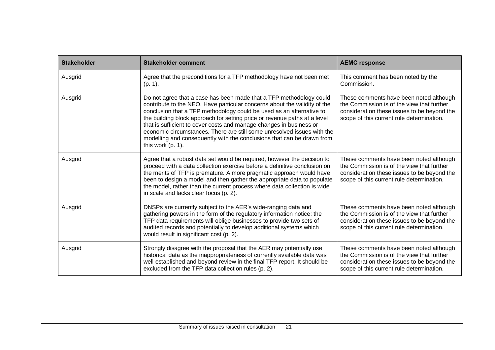| <b>Stakeholder</b> | <b>Stakeholder comment</b>                                                                                                                                                                                                                                                                                                                                                                                                                                                                                                                                | <b>AEMC response</b>                                                                                                                                                              |
|--------------------|-----------------------------------------------------------------------------------------------------------------------------------------------------------------------------------------------------------------------------------------------------------------------------------------------------------------------------------------------------------------------------------------------------------------------------------------------------------------------------------------------------------------------------------------------------------|-----------------------------------------------------------------------------------------------------------------------------------------------------------------------------------|
| Ausgrid            | Agree that the preconditions for a TFP methodology have not been met<br>$(p. 1)$ .                                                                                                                                                                                                                                                                                                                                                                                                                                                                        | This comment has been noted by the<br>Commission.                                                                                                                                 |
| Ausgrid            | Do not agree that a case has been made that a TFP methodology could<br>contribute to the NEO. Have particular concerns about the validity of the<br>conclusion that a TFP methodology could be used as an alternative to<br>the building block approach for setting price or revenue paths at a level<br>that is sufficient to cover costs and manage changes in business or<br>economic circumstances. There are still some unresolved issues with the<br>modelling and consequently with the conclusions that can be drawn from<br>this work $(p. 1)$ . | These comments have been noted although<br>the Commission is of the view that further<br>consideration these issues to be beyond the<br>scope of this current rule determination. |
| Ausgrid            | Agree that a robust data set would be required, however the decision to<br>proceed with a data collection exercise before a definitive conclusion on<br>the merits of TFP is premature. A more pragmatic approach would have<br>been to design a model and then gather the appropriate data to populate<br>the model, rather than the current process where data collection is wide<br>in scale and lacks clear focus (p. 2).                                                                                                                             | These comments have been noted although<br>the Commission is of the view that further<br>consideration these issues to be beyond the<br>scope of this current rule determination. |
| Ausgrid            | DNSPs are currently subject to the AER's wide-ranging data and<br>gathering powers in the form of the regulatory information notice: the<br>TFP data requirements will oblige businesses to provide two sets of<br>audited records and potentially to develop additional systems which<br>would result in significant cost (p. 2).                                                                                                                                                                                                                        | These comments have been noted although<br>the Commission is of the view that further<br>consideration these issues to be beyond the<br>scope of this current rule determination. |
| Ausgrid            | Strongly disagree with the proposal that the AER may potentially use<br>historical data as the inappropriateness of currently available data was<br>well established and beyond review in the final TFP report. It should be<br>excluded from the TFP data collection rules (p. 2).                                                                                                                                                                                                                                                                       | These comments have been noted although<br>the Commission is of the view that further<br>consideration these issues to be beyond the<br>scope of this current rule determination. |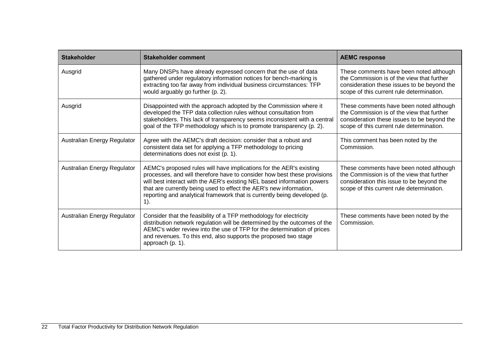| <b>Stakeholder</b>          | <b>Stakeholder comment</b>                                                                                                                                                                                                                                                                                                                                                             | <b>AEMC response</b>                                                                                                                                                              |
|-----------------------------|----------------------------------------------------------------------------------------------------------------------------------------------------------------------------------------------------------------------------------------------------------------------------------------------------------------------------------------------------------------------------------------|-----------------------------------------------------------------------------------------------------------------------------------------------------------------------------------|
| Ausgrid                     | Many DNSPs have already expressed concern that the use of data<br>gathered under regulatory information notices for bench-marking is<br>extracting too far away from individual business circumstances: TFP<br>would arguably go further (p. 2).                                                                                                                                       | These comments have been noted although<br>the Commission is of the view that further<br>consideration these issues to be beyond the<br>scope of this current rule determination. |
| Ausgrid                     | Disappointed with the approach adopted by the Commission where it<br>developed the TFP data collection rules without consultation from<br>stakeholders. This lack of transparency seems inconsistent with a central<br>goal of the TFP methodology which is to promote transparency (p. 2).                                                                                            | These comments have been noted although<br>the Commission is of the view that further<br>consideration these issues to be beyond the<br>scope of this current rule determination. |
| Australian Energy Regulator | Agree with the AEMC's draft decision: consider that a robust and<br>consistent data set for applying a TFP methodology to pricing<br>determinations does not exist (p. 1).                                                                                                                                                                                                             | This comment has been noted by the<br>Commission.                                                                                                                                 |
| Australian Energy Regulator | AEMC's proposed rules will have implications for the AER's existing<br>processes, and will therefore have to consider how best these provisions<br>will best interact with the AER's existing NEL based information powers<br>that are currently being used to effect the AER's new information,<br>reporting and analytical framework that is currently being developed (p.<br>$1$ ). | These comments have been noted although<br>the Commission is of the view that further<br>consideration this issue to be beyond the<br>scope of this current rule determination.   |
| Australian Energy Regulator | Consider that the feasibility of a TFP methodology for electricity<br>distribution network regulation will be determined by the outcomes of the<br>AEMC's wider review into the use of TFP for the determination of prices<br>and revenues. To this end, also supports the proposed two stage<br>approach (p. 1).                                                                      | These comments have been noted by the<br>Commission.                                                                                                                              |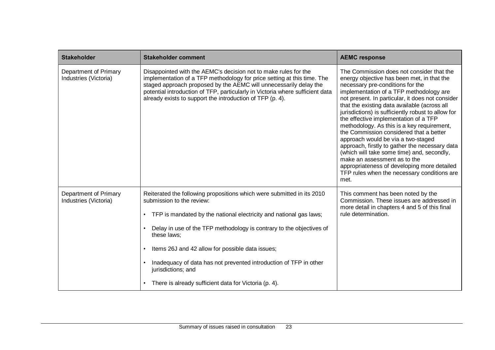| <b>Stakeholder</b>                             | <b>Stakeholder comment</b>                                                                                                                                                                                                                                                                                                                                                                                                                                               | <b>AEMC response</b>                                                                                                                                                                                                                                                                                                                                                                                                                                                                                                                                                                                                                                                                                                                           |
|------------------------------------------------|--------------------------------------------------------------------------------------------------------------------------------------------------------------------------------------------------------------------------------------------------------------------------------------------------------------------------------------------------------------------------------------------------------------------------------------------------------------------------|------------------------------------------------------------------------------------------------------------------------------------------------------------------------------------------------------------------------------------------------------------------------------------------------------------------------------------------------------------------------------------------------------------------------------------------------------------------------------------------------------------------------------------------------------------------------------------------------------------------------------------------------------------------------------------------------------------------------------------------------|
| Department of Primary<br>Industries (Victoria) | Disappointed with the AEMC's decision not to make rules for the<br>implementation of a TFP methodology for price setting at this time. The<br>staged approach proposed by the AEMC will unnecessarily delay the<br>potential introduction of TFP, particularly in Victoria where sufficient data<br>already exists to support the introduction of TFP (p. 4).                                                                                                            | The Commission does not consider that the<br>energy objective has been met, in that the<br>necessary pre-conditions for the<br>implementation of a TFP methodology are<br>not present. In particular, it does not consider<br>that the existing data available (across all<br>jurisdictions) is sufficiently robust to allow for<br>the effective implementation of a TFP<br>methodology. As this is a key requirement,<br>the Commission considered that a better<br>approach would be via a two-staged<br>approach, firstly to gather the necessary data<br>(which will take some time) and, secondly,<br>make an assessment as to the<br>appropriateness of developing more detailed<br>TFP rules when the necessary conditions are<br>met. |
| Department of Primary<br>Industries (Victoria) | Reiterated the following propositions which were submitted in its 2010<br>submission to the review:<br>TFP is mandated by the national electricity and national gas laws;<br>Delay in use of the TFP methodology is contrary to the objectives of<br>these laws;<br>Items 26J and 42 allow for possible data issues;<br>Inadequacy of data has not prevented introduction of TFP in other<br>jurisdictions; and<br>There is already sufficient data for Victoria (p. 4). | This comment has been noted by the<br>Commission. These issues are addressed in<br>more detail in chapters 4 and 5 of this final<br>rule determination.                                                                                                                                                                                                                                                                                                                                                                                                                                                                                                                                                                                        |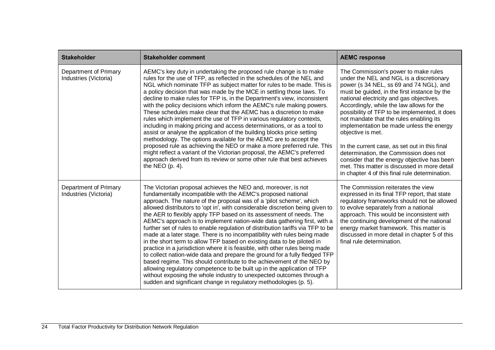| <b>Stakeholder</b>                             | <b>Stakeholder comment</b>                                                                                                                                                                                                                                                                                                                                                                                                                                                                                                                                                                                                                                                                                                                                                                                                                                                                                                                                                                                                                                                                                                                       | <b>AEMC response</b>                                                                                                                                                                                                                                                                                                                                                                                                                                                                                                                                                                                                                                                          |
|------------------------------------------------|--------------------------------------------------------------------------------------------------------------------------------------------------------------------------------------------------------------------------------------------------------------------------------------------------------------------------------------------------------------------------------------------------------------------------------------------------------------------------------------------------------------------------------------------------------------------------------------------------------------------------------------------------------------------------------------------------------------------------------------------------------------------------------------------------------------------------------------------------------------------------------------------------------------------------------------------------------------------------------------------------------------------------------------------------------------------------------------------------------------------------------------------------|-------------------------------------------------------------------------------------------------------------------------------------------------------------------------------------------------------------------------------------------------------------------------------------------------------------------------------------------------------------------------------------------------------------------------------------------------------------------------------------------------------------------------------------------------------------------------------------------------------------------------------------------------------------------------------|
| Department of Primary<br>Industries (Victoria) | AEMC's key duty in undertaking the proposed rule change is to make<br>rules for the use of TFP, as reflected in the schedules of the NEL and<br>NGL which nominate TFP as subject matter for rules to be made. This is<br>a policy decision that was made by the MCE in settling those laws. To<br>decline to make rules for TFP is, in the Department's view, inconsistent<br>with the policy decisions which inform the AEMC's rule making powers.<br>These schedules make clear that the AEMC has a discretion to make<br>rules which implement the use of TFP in various regulatory contexts,<br>including in making pricing and access determinations, or as a tool to<br>assist or analyse the application of the building blocks price setting<br>methodology. The options available for the AEMC are to accept the<br>proposed rule as achieving the NEO or make a more preferred rule. This<br>might reflect a variant of the Victorian proposal, the AEMC's preferred<br>approach derived from its review or some other rule that best achieves<br>the NEO $(p. 4)$ .                                                                  | The Commission's power to make rules<br>under the NEL and NGL is a discretionary<br>power (s 34 NEL, ss 69 and 74 NGL), and<br>must be guided, in the first instance by the<br>national electricity and gas objectives.<br>Accordingly, while the law allows for the<br>possibility of TFP to be implemented, it does<br>not mandate that the rules enabling its<br>implementation be made unless the energy<br>objective is met.<br>In the current case, as set out in this final<br>determination, the Commission does not<br>consider that the energy objective has been<br>met. This matter is discussed in more detail<br>in chapter 4 of this final rule determination. |
| Department of Primary<br>Industries (Victoria) | The Victorian proposal achieves the NEO and, moreover, is not<br>fundamentally incompatible with the AEMC's proposed national<br>approach. The nature of the proposal was of a 'pilot scheme', which<br>allowed distributors to 'opt in', with considerable discretion being given to<br>the AER to flexibly apply TFP based on its assessment of needs. The<br>AEMC's approach is to implement nation-wide data gathering first, with a<br>further set of rules to enable regulation of distribution tariffs via TFP to be<br>made at a later stage. There is no incompatibility with rules being made<br>in the short term to allow TFP based on existing data to be piloted in<br>practice in a jurisdiction where it is feasible, with other rules being made<br>to collect nation-wide data and prepare the ground for a fully fledged TFP<br>based regime. This should contribute to the achievement of the NEO by<br>allowing regulatory competence to be built up in the application of TFP<br>without exposing the whole industry to unexpected outcomes through a<br>sudden and significant change in regulatory methodologies (p. 5). | The Commission reiterates the view<br>expressed in its final TFP report, that state<br>regulatory frameworks should not be allowed<br>to evolve separately from a national<br>approach. This would be inconsistent with<br>the continuing development of the national<br>energy market framework. This matter is<br>discussed in more detail in chapter 5 of this<br>final rule determination.                                                                                                                                                                                                                                                                                |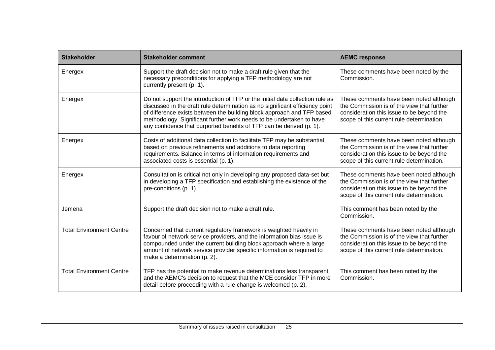| <b>Stakeholder</b>              | <b>Stakeholder comment</b>                                                                                                                                                                                                                                                                                                                                                              | <b>AEMC response</b>                                                                                                                                                            |
|---------------------------------|-----------------------------------------------------------------------------------------------------------------------------------------------------------------------------------------------------------------------------------------------------------------------------------------------------------------------------------------------------------------------------------------|---------------------------------------------------------------------------------------------------------------------------------------------------------------------------------|
| Energex                         | Support the draft decision not to make a draft rule given that the<br>necessary preconditions for applying a TFP methodology are not<br>currently present (p. 1).                                                                                                                                                                                                                       | These comments have been noted by the<br>Commission.                                                                                                                            |
| Energex                         | Do not support the introduction of TFP or the initial data collection rule as<br>discussed in the draft rule determination as no significant efficiency point<br>of difference exists between the building block approach and TFP based<br>methodology. Significant further work needs to be undertaken to have<br>any confidence that purported benefits of TFP can be derived (p. 1). | These comments have been noted although<br>the Commission is of the view that further<br>consideration this issue to be beyond the<br>scope of this current rule determination. |
| Energex                         | Costs of additional data collection to facilitate TFP may be substantial,<br>based on previous refinements and additions to data reporting<br>requirements. Balance in terms of information requirements and<br>associated costs is essential (p. 1).                                                                                                                                   | These comments have been noted although<br>the Commission is of the view that further<br>consideration this issue to be beyond the<br>scope of this current rule determination. |
| Energex                         | Consultation is critical not only in developing any proposed data-set but<br>in developing a TFP specification and establishing the existence of the<br>pre-conditions (p. 1).                                                                                                                                                                                                          | These comments have been noted although<br>the Commission is of the view that further<br>consideration this issue to be beyond the<br>scope of this current rule determination. |
| Jemena                          | Support the draft decision not to make a draft rule.                                                                                                                                                                                                                                                                                                                                    | This comment has been noted by the<br>Commission.                                                                                                                               |
| <b>Total Environment Centre</b> | Concerned that current regulatory framework is weighted heavily in<br>favour of network service providers, and the information bias issue is<br>compounded under the current building block approach where a large<br>amount of network service provider specific information is required to<br>make a determination (p. 2).                                                            | These comments have been noted although<br>the Commission is of the view that further<br>consideration this issue to be beyond the<br>scope of this current rule determination. |
| <b>Total Environment Centre</b> | TFP has the potential to make revenue determinations less transparent<br>and the AEMC's decision to request that the MCE consider TFP in more<br>detail before proceeding with a rule change is welcomed (p. 2).                                                                                                                                                                        | This comment has been noted by the<br>Commission.                                                                                                                               |